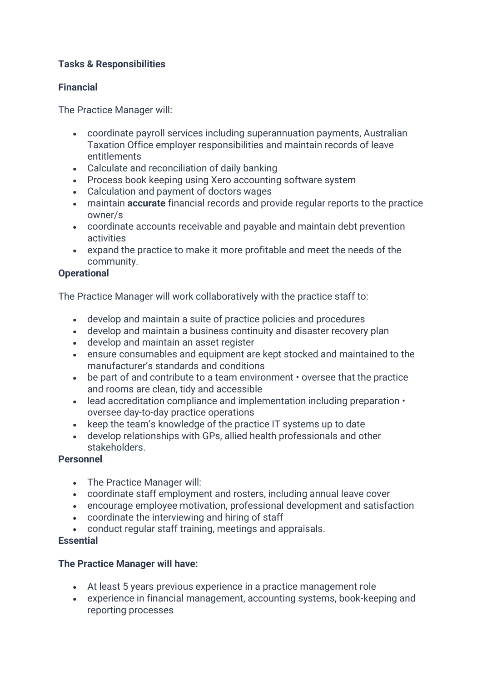# **Tasks & Responsibilities**

## **Financial**

The Practice Manager will:

- coordinate payroll services including superannuation payments, Australian Taxation Office employer responsibilities and maintain records of leave entitlements
- Calculate and reconciliation of daily banking
- Process book keeping using Xero accounting software system
- Calculation and payment of doctors wages
- maintain **accurate** financial records and provide regular reports to the practice owner/s
- coordinate accounts receivable and payable and maintain debt prevention activities
- expand the practice to make it more profitable and meet the needs of the community.

## **Operational**

The Practice Manager will work collaboratively with the practice staff to:

- develop and maintain a suite of practice policies and procedures
- develop and maintain a business continuity and disaster recovery plan
- develop and maintain an asset register
- ensure consumables and equipment are kept stocked and maintained to the manufacturer's standards and conditions
- be part of and contribute to a team environment oversee that the practice and rooms are clean, tidy and accessible
- lead accreditation compliance and implementation including preparation oversee day-to-day practice operations
- keep the team's knowledge of the practice IT systems up to date
- develop relationships with GPs, allied health professionals and other stakeholders.

#### **Personnel**

- The Practice Manager will:
- coordinate staff employment and rosters, including annual leave cover
- encourage employee motivation, professional development and satisfaction
- coordinate the interviewing and hiring of staff
- conduct regular staff training, meetings and appraisals.

#### **Essential**

# **The Practice Manager will have:**

- At least 5 years previous experience in a practice management role
- experience in financial management, accounting systems, book-keeping and reporting processes